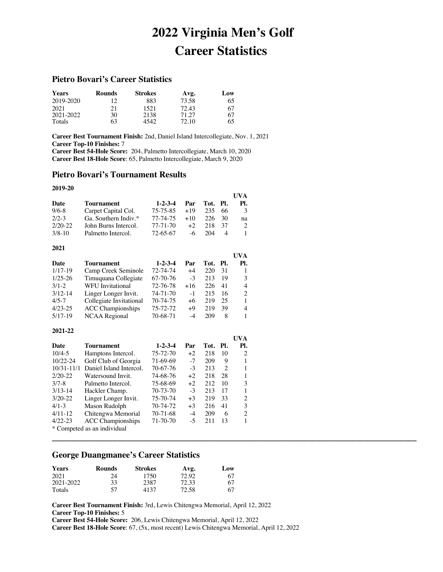# **2022 Virginia Men's Golf Career Statistics**

**UVA** 

**\_\_\_\_\_\_\_\_\_\_\_\_\_\_\_\_\_\_\_\_\_\_\_\_\_\_\_\_\_\_\_\_\_\_\_\_\_\_\_\_\_\_\_\_\_\_\_\_\_\_\_\_\_\_\_\_\_\_\_\_\_\_\_\_\_\_\_\_\_\_\_\_\_\_\_\_\_\_\_\_\_\_\_\_**

# **Pietro Bovari's Career Statistics**

| <b>Years</b> | <b>Rounds</b> | <b>Strokes</b> | Avg.  | Low |
|--------------|---------------|----------------|-------|-----|
| 2019-2020    | 12            | 883            | 73.58 | 65  |
| 2021         | 21            | 1521           | 72.43 | 67  |
| 2021-2022    | 30            | 2138           | 71.27 | 67  |
| Totals       | 63            | 4542.          | 72.10 | 65  |

**Career Best Tournament Finish:** 2nd, Daniel Island Intercollegiate, Nov. 1, 2021 **Career Top-10 Finishes:** 7 **Career Best 54-Hole Score:** 204, Palmetto Intercollegiate, March 10, 2020 **Career Best 18-Hole Score**: 65, Palmetto Intercollegiate, March 9, 2020

## **Pietro Bovari's Tournament Results**

#### **2019-20**

|            |                      |                 |           |          |      | <b>I</b> IVA |
|------------|----------------------|-----------------|-----------|----------|------|--------------|
| Date       | <b>Tournament</b>    | $1 - 2 - 3 - 4$ | Par       | Tot. Pl. |      | PL.          |
| $9/6 - 8$  | Carpet Capital Col.  | 75-75-85        | $+19$     | 235      | -66  | 3            |
| $2/2-3$    | Ga. Southern Indiv.* | 77-74-75        | $+10^{-}$ | 226.     | - 30 | na           |
| $2/20-22$  | John Burns Intercol. | 77-71-70        | $+2$      | 218      | -37  |              |
| $3/8 - 10$ | Palmetto Intercol.   | 72-65-67        | -6        | 204      |      |              |

| 2021        |                          |                 |       |          |    |                |
|-------------|--------------------------|-----------------|-------|----------|----|----------------|
|             |                          |                 |       |          |    | UVA            |
| Date        | Tournament               | $1 - 2 - 3 - 4$ | Par   | Tot. Pl. |    | PI.            |
| $1/17-19$   | Camp Creek Seminole      | 72-74-74        | $+4$  | 220      | 31 |                |
| $1/25 - 26$ | Timuquana Collegiate     | 67-70-76        | $-3$  | 213      | 19 | 3              |
| $3/1 - 2$   | WFU Invitational         | 72-76-78        | $+16$ | 226      | 41 | 4              |
| $3/12 - 14$ | Linger Longer Invit.     | 74-71-70        | $-1$  | 215      | 16 | $\mathfrak{D}$ |
| $4/5 - 7$   | Collegiate Invitational  | 70-74-75        | +6    | 219      | 25 | 1              |
| $4/23 - 25$ | <b>ACC</b> Championships | 75-72-72        | +9    | 219      | 39 | 4              |
| $5/17-19$   | <b>NCAA Regional</b>     | 70-68-71        | -4    | 209      | 8  |                |

#### **2021-22**

|                |                             |                 |      |          |    | $\cdots$ |
|----------------|-----------------------------|-----------------|------|----------|----|----------|
| Date           | Tournament                  | $1 - 2 - 3 - 4$ | Par  | Tot. Pl. |    | Pl.      |
| $10/4 - 5$     | Hamptons Intercol.          | 75-72-70        | $+2$ | 218      | 10 | 2        |
| $10/22 - 24$   | Golf Club of Georgia        | 71-69-69        | $-7$ | 209      | 9  |          |
| $10/31 - 11/1$ | Daniel Island Intercol.     | 70-67-76        | $-3$ | 213      | 2  |          |
| $2/20-22$      | Watersound Invit.           | 74-68-76        | $+2$ | 218      | 28 |          |
| $3/7 - 8$      | Palmetto Intercol.          | 75-68-69        | $+2$ | 212      | 10 | 3        |
| $3/13-14$      | Hackler Champ.              | 70-73-70        | $-3$ | 213      | 17 |          |
| $3/20 - 22$    | Linger Longer Invit.        | 75-70-74        | $+3$ | 219      | 33 | 2        |
| $4/1 - 3$      | Mason Rudolph               | 70-74-72        | $+3$ | 216      | 41 | 3        |
| $4/11-12$      | Chitengwa Memorial          | $70-71-68$      | -4   | 209      | 6  | 2        |
| $4/22 - 23$    | <b>ACC</b> Championships    | 71-70-70        | $-5$ | 211      | 13 |          |
|                | * Competed as an individual |                 |      |          |    |          |

# **George Duangmanee's Career Statistics**

| <b>Years</b> | <b>Rounds</b> | <b>Strokes</b> | Avg.  | Low |
|--------------|---------------|----------------|-------|-----|
| 2021         | 24            | 1750           | 72.92 | 67  |
| 2021-2022    | 33            | 2387           | 72.33 | 67  |
| Totals       | 57            | 4137           | 72.58 | 67  |

**Career Best Tournament Finish:** 3rd, Lewis Chitengwa Memorial, April 12, 2022 **Career Top-10 Finishes:** 5

**Career Best 54-Hole Score:** 206, Lewis Chitengwa Memorial, April 12, 2022

**Career Best 18-Hole Score**: 67, (5x, most recent) Lewis Chitengwa Memorial, April 12, 2022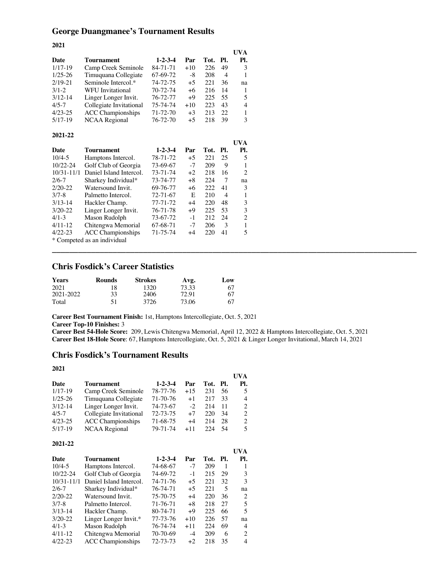# **George Duangmanee's Tournament Results**

| 2021           |                             |                 |       |      |                |                |
|----------------|-----------------------------|-----------------|-------|------|----------------|----------------|
|                |                             |                 |       |      |                | UVA            |
| <b>Date</b>    | Tournament                  | $1 - 2 - 3 - 4$ | Par   | Tot. | PI.            | Pl.            |
| $1/17-19$      | Camp Creek Seminole         | 84-71-71        | $+10$ | 226  | 49             | 3              |
| $1/25 - 26$    | Timuquana Collegiate        | 67-69-72        | -8    | 208  | 4              | 1              |
| $2/19 - 21$    | Seminole Intercol.*         | 74-72-75        | $+5$  | 221  | 36             | na             |
| $3/1 - 2$      | <b>WFU</b> Invitational     | 70-72-74        | $+6$  | 216  | 14             | 1              |
| $3/12 - 14$    | Linger Longer Invit.        | 76-72-77        | $+9$  | 225  | 55             | 5              |
| $4/5 - 7$      | Collegiate Invitational     | 75-74-74        | $+10$ | 223  | 43             | 4              |
| $4/23 - 25$    | <b>ACC</b> Championships    | 71-72-70        | $+3$  | 213  | 22             | $\mathbf{1}$   |
| $5/17-19$      | <b>NCAA Regional</b>        | 76-72-70        | $+5$  | 218  | 39             | 3              |
| 2021-22        |                             |                 |       |      |                |                |
|                |                             |                 |       |      |                | <b>UVA</b>     |
| Date           | Tournament                  | $1 - 2 - 3 - 4$ | Par   | Tot. | Pl.            | Pl.            |
| $10/4 - 5$     | Hamptons Intercol.          | 78-71-72        | $+5$  | 221  | 25             | 5              |
| $10/22 - 24$   | Golf Club of Georgia        | 73-69-67        | $-7$  | 209  | 9              | 1              |
| $10/31 - 11/1$ | Daniel Island Intercol.     | 73-71-74        | $+2$  | 218  | 16             | $\overline{c}$ |
| $2/6 - 7$      | Sharkey Individual*         | 73-74-77        | $+8$  | 224  | 7              | na             |
| $2/20-22$      | Watersound Invit.           | 69-76-77        | $+6$  | 222  | 41             | 3              |
| $3/7 - 8$      | Palmetto Intercol.          | 72-71-67        | E     | 210  | $\overline{4}$ | $\mathbf{1}$   |
| $3/13 - 14$    | Hackler Champ.              | 77-71-72        | $+4$  | 220  | 48             | 3              |
| $3/20 - 22$    | Linger Longer Invit.        | 76-71-78        | $+9$  | 225  | 53             | 3              |
| $4/1 - 3$      | Mason Rudolph               | 73-67-72        | $-1$  | 212  | 24             | $\overline{2}$ |
| $4/11-12$      | Chitengwa Memorial          | 67-68-71        | $-7$  | 206  | 3              | $\mathbf{1}$   |
| $4/22 - 23$    | <b>ACC Championships</b>    | 71-75-74        | $+4$  | 220  | 41             | 5              |
|                | * Competed as an individual |                 |       |      |                |                |

# **Chris Fosdick's Career Statistics**

| <b>Years</b> | <b>Rounds</b> | <b>Strokes</b> | Avg.  | Low |
|--------------|---------------|----------------|-------|-----|
| 2021         | 18            | 1320           | 73.33 | 67  |
| 2021-2022    | 33            | 2406           | 72.91 | 67  |
| Total        | 51            | 3726           | 73.06 | 67  |

**Career Best Tournament Finish:** 1st, Hamptons Intercollegiate, Oct. 5, 2021

**Career Top-10 Finishes:** 3

**Career Best 54-Hole Score:** 209, Lewis Chitengwa Memorial, April 12, 2022 & Hamptons Intercollegiate, Oct. 5, 2021 **Career Best 18-Hole Score**: 67, Hamptons Intercollegiate, Oct. 5, 2021 & Linger Longer Invitational, March 14, 2021

**\_\_\_\_\_\_\_\_\_\_\_\_\_\_\_\_\_\_\_\_\_\_\_\_\_\_\_\_\_\_\_\_\_\_\_\_\_\_\_\_\_\_\_\_\_\_\_\_\_\_\_\_\_\_\_\_\_\_\_\_\_\_\_\_\_\_\_\_\_\_\_\_\_\_\_\_\_\_\_\_\_\_\_\_**

# **Chris Fosdick's Tournament Results**

| 2021        |                          |                 |       |          |     |                |
|-------------|--------------------------|-----------------|-------|----------|-----|----------------|
|             |                          |                 |       |          |     | UVA            |
| Date        | <b>Tournament</b>        | $1 - 2 - 3 - 4$ | Par   | Tot. Pl. |     | PI.            |
| $1/17-19$   | Camp Creek Seminole      | 78-77-76        | $+15$ | 231      | 56  | 5              |
| $1/25 - 26$ | Timuquana Collegiate     | 71-70-76        | $+1$  | 217      | 33  | 4              |
| $3/12 - 14$ | Linger Longer Invit.     | 74-73-67        | $-2$  | 214      | 11  | 2              |
| $4/5 - 7$   | Collegiate Invitational  | 72-73-75        | $+7$  | 220      | 34  | $\overline{2}$ |
| $4/23 - 25$ | <b>ACC</b> Championships | 71-68-75        | $+4$  | 214      | 28  | 2              |
| $5/17-19$   | NCAA Regional            | 79-71-74        | $+11$ | 224      | -54 | 5              |

#### **2021-22**

|                |                          |                 |       |      |      | UVA |
|----------------|--------------------------|-----------------|-------|------|------|-----|
| Date           | <b>Tournament</b>        | $1 - 2 - 3 - 4$ | Par   | Tot. | -PI. | PI. |
| $10/4 - 5$     | Hamptons Intercol.       | 74-68-67        | $-7$  | 209  |      |     |
| $10/22 - 24$   | Golf Club of Georgia     | 74-69-72        | $-1$  | 215  | 29   | 3   |
| $10/31 - 11/1$ | Daniel Island Intercol.  | $74 - 71 - 76$  | $+5$  | 22.1 | 32   | 3   |
| $2/6 - 7$      | Sharkey Individual*      | 76-74-71        | $+5$  | 221  | 5    | na  |
| $2/20-22$      | Watersound Invit.        | 75-70-75        | $+4$  | 220  | 36   | 2   |
| $3/7 - 8$      | Palmetto Intercol.       | 71-76-71        | $+8$  | 218  | 27   | 5   |
| $3/13-14$      | Hackler Champ.           | 80-74-71        | $+9$  | 225  | 66   | 5   |
| $3/20 - 22$    | Linger Longer Invit.*    | 77-73-76        | $+10$ | 226  | 57   | na  |
| $4/1 - 3$      | Mason Rudolph            | 76-74-74        | $+11$ | 224  | 69   | 4   |
| $4/11-12$      | Chitengwa Memorial       | 70-70-69        | -4    | 209  | 6    | 2   |
| $4/22 - 23$    | <b>ACC</b> Championships | 72-73-73        | $+2$  | 218  | 35   | 4   |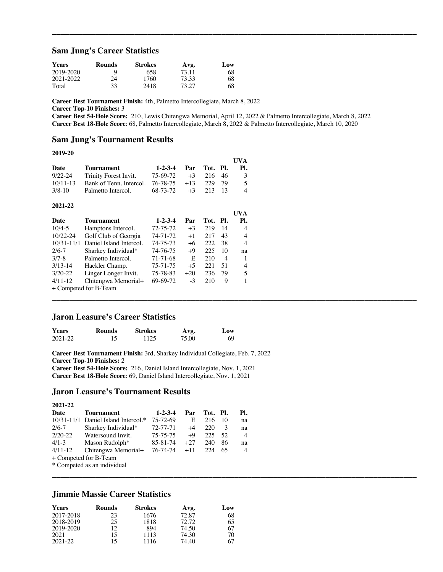### **Sam Jung's Career Statistics**

| <b>Years</b> | Rounds | <b>Strokes</b> | Avg.  | Low |
|--------------|--------|----------------|-------|-----|
| 2019-2020    | Q      | 658            | 73.11 | 68  |
| 2021-2022    | 24     | 1760           | 73.33 | 68  |
| Total        | 33     | 2418           | 73.27 | 68  |

**Career Best Tournament Finish:** 4th, Palmetto Intercollegiate, March 8, 2022

**Career Top-10 Finishes:** 3

**Career Best 54-Hole Score:** 210, Lewis Chitengwa Memorial, April 12, 2022 & Palmetto Intercollegiate, March 8, 2022 **Career Best 18-Hole Score**: 68, Palmetto Intercollegiate, March 8, 2022 & Palmetto Intercollegiate, March 10, 2020

**\_\_\_\_\_\_\_\_\_\_\_\_\_\_\_\_\_\_\_\_\_\_\_\_\_\_\_\_\_\_\_\_\_\_\_\_\_\_\_\_\_\_\_\_\_\_\_\_\_\_\_\_\_\_\_\_\_\_\_\_\_\_\_\_\_\_\_\_\_\_\_\_\_\_\_\_\_\_\_\_\_\_\_\_**

**\_\_\_\_\_\_\_\_\_\_\_\_\_\_\_\_\_\_\_\_\_\_\_\_\_\_\_\_\_\_\_\_\_\_\_\_\_\_\_\_\_\_\_\_\_\_\_\_\_\_\_\_\_\_\_\_\_\_\_\_\_\_\_\_\_\_\_\_\_\_\_\_\_\_\_\_\_\_\_\_\_\_\_\_**

**\_\_\_\_\_\_\_\_\_\_\_\_\_\_\_\_\_\_\_\_\_\_\_\_\_\_\_\_\_\_\_\_\_\_\_\_\_\_\_\_\_\_\_\_\_\_\_\_\_\_\_\_\_\_\_\_\_\_\_\_\_\_\_\_\_\_\_\_\_\_\_\_\_\_\_\_\_\_\_\_\_\_\_\_**

#### **Sam Jung's Tournament Results**

#### **2019-20**

|              |                                               |                      |             | <b>IIVA</b>   |
|--------------|-----------------------------------------------|----------------------|-------------|---------------|
| Date         | Tournament                                    | 1-2-3-4 Par Tot. Pl. |             | PL.           |
|              | 9/22-24 Trinity Forest Invit.                 | 75-69-72             | $+3$ 216 46 | $\mathcal{R}$ |
| $10/11 - 13$ | Bank of Tenn. Intercol. $76-78-75$ +13 229 79 |                      |             | $\sim$        |
| $3/8 - 10$   | Palmetto Intercol.                            | 68-73-72             | $+3$ 213 13 |               |

#### **2021-22**

| Date           | <b>Tournament</b>       | $1 - 2 - 3 - 4$ | Par   | Tot. | PI. | UVA<br>PI. |
|----------------|-------------------------|-----------------|-------|------|-----|------------|
| $10/4 - 5$     | Hamptons Intercol.      | 72-75-72        | $+3$  | 219  | 14  | 4          |
| $10/22 - 24$   | Golf Club of Georgia    | 74-71-72        | $+1$  | 217  | 43  | 4          |
| $10/31 - 11/1$ | Daniel Island Intercol. | 74-75-73        | $+6$  | 222  | 38  | 4          |
| $2/6 - 7$      | Sharkey Individual*     | 74-76-75        | $+9$  | 225  | 10  | na         |
| $3/7 - 8$      | Palmetto Intercol.      | 71-71-68        | E     | 210  | 4   |            |
| $3/13-14$      | Hackler Champ.          | 75-71-75        | $+5$  | 221  | 51  | 4          |
| $3/20-22$      | Linger Longer Invit.    | 75-78-83        | $+20$ | 236  | 79  | 5          |
| $4/11-12$      | Chitengwa Memorial+     | 69-69-72        | $-3$  | 210  | 9   |            |
|                | + Competed for B-Team   |                 |       |      |     |            |

# **Jaron Leasure's Career Statistics**

| <b>Years</b> | Rounds | Strokes | Avg.  | Low |
|--------------|--------|---------|-------|-----|
| 2021-22      |        | 1125    | 75.00 | 69  |

**Career Best Tournament Finish:** 3rd, Sharkey Individual Collegiate, Feb. 7, 2022 **Career Top-10 Finishes:** 2 **Career Best 54-Hole Score:** 216, Daniel Island Intercollegiate, Nov. 1, 2021 **Career Best 18-Hole Score**: 69, Daniel Island Intercollegiate, Nov. 1, 2021

#### **Jaron Leasure's Tournament Results**

| 2021-22   |                                       |                 |       |          |    |                |
|-----------|---------------------------------------|-----------------|-------|----------|----|----------------|
| Date      | Tournament                            | $1 - 2 - 3 - 4$ | Par   | Tot. Pl. |    | PI.            |
|           | $10/31-11/1$ Daniel Island Intercol.* | 75-72-69        | E     | 216      | 10 | na             |
| $2/6 - 7$ | Sharkey Individual*                   | 72-77-71        | $+4$  | 220      | 3  | na             |
| $2/20-22$ | Watersound Invit.                     | 75-75-75        | $+9$  | 225      | 52 | $\overline{4}$ |
| $4/1 - 3$ | Mason Rudolph <sup>*</sup>            | 85-81-74        | $+27$ | 240      | 86 | na             |
| $4/11-12$ | Chitengwa Memorial+                   | 76-74-74        | $+11$ | 224      | 65 | 4              |
|           | + Competed for B-Team                 |                 |       |          |    |                |
|           | * Competed as an individual           |                 |       |          |    |                |

# **Jimmie Massie Career Statistics**

| <b>Years</b> | <b>Rounds</b> | <b>Strokes</b> | Avg.  | Low |
|--------------|---------------|----------------|-------|-----|
| 2017-2018    | 23            | 1676           | 72.87 | 68  |
| 2018-2019    | 25            | 1818           | 72.72 | 65  |
| 2019-2020    | 12            | 894            | 74.50 | 67  |
| 2021         | 15            | 1113           | 74.30 | 70  |
| 2021-22      | 15            | 1116           | 74.40 | 67  |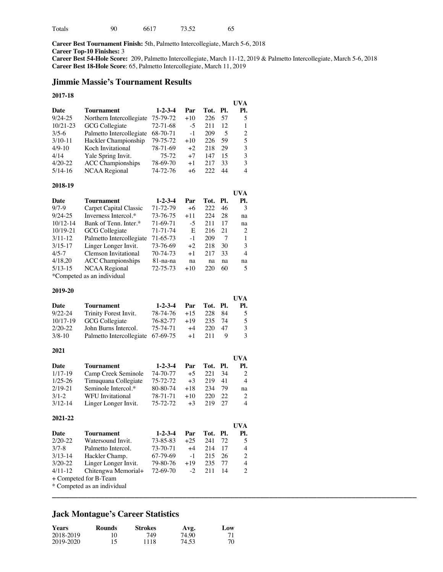| Totals | 90 | 6617 | 73.52 | 65 |
|--------|----|------|-------|----|
|        |    |      |       |    |

**Career Best Tournament Finish:** 5th, Palmetto Intercollegiate, March 5-6, 2018 **Career Top-10 Finishes:** 3 **Career Best 54-Hole Score:** 209, Palmetto Intercollegiate, March 11-12, 2019 & Palmetto Intercollegiate, March 5-6, 2018 **Career Best 18-Hole Score**: 65, Palmetto Intercollegiate, March 11, 2019

## **Jimmie Massie's Tournament Results**

### **2017-18**

|              |                          |                 |       |      |       | UVA |
|--------------|--------------------------|-----------------|-------|------|-------|-----|
| Date         | Tournament               | $1 - 2 - 3 - 4$ | Par   | Tot. | - PI. | PI. |
| $9/24 - 25$  | Northern Intercollegiate | 75-79-72        | $+10$ | 226  | 57    | 5   |
| $10/21 - 23$ | GCG Collegiate           | $72 - 71 - 68$  | $-5$  | 211  | 12    |     |
| $3/5-6$      | Palmetto Intercollegiate | 68-70-71        | $-1$  | 209  | 5     | 2   |
| $3/10-11$    | Hackler Championship     | 79-75-72        | $+10$ | 226  | 59    | 5   |
| $4/9-10$     | Koch Invitational        | 78-71-69        | $+2$  | 218  | 29    | 3   |
| 4/14         | Yale Spring Invit.       | 75-72           | $+7$  | 147  | 15    | 3   |
| $4/20-22$    | <b>ACC</b> Championships | 78-69-70        | $+1$  | 217  | 33    | 3   |
| $5/14-16$    | NCAA Regional            | 74-72-76        | $+6$  | 222  | 44    | 4   |

#### **2018-19**

|                            |                          |                 |       |      |      | UVA |
|----------------------------|--------------------------|-----------------|-------|------|------|-----|
| Date                       | Tournament               | $1 - 2 - 3 - 4$ | Par   | Tot. | -PI. | Pl. |
| $9/7-9$                    | Carpet Capital Classic   | 71-72-79        | +6    | 222  | 46   | 3   |
| $9/24 - 25$                | Inverness Intercol.*     | 73-76-75        | $+11$ | 224  | 28   | na  |
| $10/12 - 14$               | Bank of Tenn. Inter.*    | 71-69-71        | -5    | 211  | 17   | na  |
| $10/19 - 21$               | GCG Collegiate           | 71-71-74        | E     | 216  | 21   | 2   |
| $3/11-12$                  | Palmetto Intercollegiate | 71-65-73        | $-1$  | 209  | 7    |     |
| $3/15 - 17$                | Linger Longer Invit.     | 73-76-69        | $+2$  | 218  | 30   | 3   |
| $4/5 - 7$                  | Clemson Invitational     | 70-74-73        | $+1$  | 217  | 33   | 4   |
| 4/18.20                    | <b>ACC</b> Championships | 81-na-na        | na    | na   | na   | na  |
| $5/13-15$                  | NCAA Regional            | 72-75-73        | $+10$ | 220  | 60   | 5   |
| *Competed as an individual |                          |                 |       |      |      |     |

#### **2019-20**

|             |                                   |                 |       |          |    | <b>UVA</b> |
|-------------|-----------------------------------|-----------------|-------|----------|----|------------|
| Date        | Tournament                        | $1 - 2 - 3 - 4$ | Par   | Tot. Pl. |    | PI.        |
| $9/22 - 24$ | Trinity Forest Invit.             | 78-74-76        | $+15$ | 228      | 84 | -5         |
| $10/17-19$  | GCG Collegiate                    | 76-82-77        | $+19$ | 235      | 74 | 5          |
| $2/20-22$   | John Burns Intercol.              | 75-74-71        | $+4$  | 220      | 47 | 3          |
| $3/8 - 10$  | Palmetto Intercollegiate 67-69-75 |                 | $+1$  | 211      | Q  | 3          |

#### **2021**

|             |                      |                 |       |          |    | UVA                         |
|-------------|----------------------|-----------------|-------|----------|----|-----------------------------|
| Date        | <b>Tournament</b>    | $1 - 2 - 3 - 4$ | Par   | Tot. Pl. |    | PI.                         |
| $1/17-19$   | Camp Creek Seminole  | 74-70-77        | $+5$  | 221      | 34 |                             |
| $1/25 - 26$ | Timuquana Collegiate | 75-72-72        | $+3$  | 219      | 41 | 4                           |
| $2/19-21$   | Seminole Intercol.*  | 80-80-74        | $+18$ | 234      | 79 | na                          |
| $3/1 - 2$   | WFU Invitational     | 78-71-71        | $+10$ | 220      | 22 | $\mathcal{D}_{\mathcal{L}}$ |
| $3/12 - 14$ | Linger Longer Invit. | 75-72-72        | $+3$  | 219      | 27 | $\overline{4}$              |

#### **2021-22**

|             |                       |                 |       |          |     | UVA |
|-------------|-----------------------|-----------------|-------|----------|-----|-----|
| Date        | <b>Tournament</b>     | $1 - 2 - 3 - 4$ | Par   | Tot. Pl. |     | PI. |
| $2/20 - 22$ | Watersound Invit.     | 73-85-83        | $+25$ | 241      | 72  | 5   |
| $3/7 - 8$   | Palmetto Intercol.    | 73-70-71        | $+4$  | 214      | -17 | 4   |
| $3/13-14$   | Hackler Champ.        | 67-79-69        | $-1$  | 215      | -26 | 2   |
| $3/20 - 22$ | Linger Longer Invit.  | 79-80-76        | $+19$ | 235      | -77 | 4   |
| $4/11-12$   | Chitengwa Memorial+   | 72-69-70        | $-2$  | 211      | 14  | 2   |
|             | + Competed for B-Team |                 |       |          |     |     |
|             |                       |                 |       |          |     |     |

**\_\_\_\_\_\_\_\_\_\_\_\_\_\_\_\_\_\_\_\_\_\_\_\_\_\_\_\_\_\_\_\_\_\_\_\_\_\_\_\_\_\_\_\_\_\_\_\_\_\_\_\_\_\_\_\_\_\_\_\_\_\_\_\_\_\_\_\_\_\_\_\_\_\_\_\_\_\_\_\_\_\_\_\_**

\* Competed as an individual

# **Jack Montague's Career Statistics**

| Years     | <b>Rounds</b> | <b>Strokes</b> | Avg.  | Low |
|-----------|---------------|----------------|-------|-----|
| 2018-2019 | 10            | 749            | 74.90 |     |
| 2019-2020 |               | 1118           | 74.53 | 70  |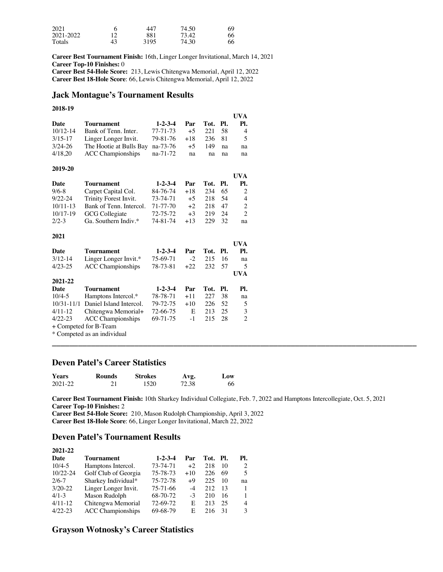| 2021      |    | 447  | 74.50 | 69 |
|-----------|----|------|-------|----|
| 2021-2022 |    | 881  | 73.42 | 66 |
| Totals    | 43 | 3195 | 74.30 | 66 |

**Career Best Tournament Finish:** 16th, Linger Longer Invitational, March 14, 2021 **Career Top-10 Finishes:** 0 **Career Best 54-Hole Score:** 213, Lewis Chitengwa Memorial, April 12, 2022 **Career Best 18-Hole Score**: 66, Lewis Chitengwa Memorial, April 12, 2022

# **Jack Montague's Tournament Results**

#### **2018-19**

|              |                                  |                 |       |          |     | UVA            |
|--------------|----------------------------------|-----------------|-------|----------|-----|----------------|
| Date         | Tournament                       | $1 - 2 - 3 - 4$ | Par   | Tot. Pl. |     | PI.            |
| $10/12 - 14$ | Bank of Tenn. Inter.             | 77-71-73        | $+5$  | -221     | -58 | $\overline{4}$ |
| $3/15 - 17$  | Linger Longer Invit.             | 79-81-76        | $+18$ | 236 81   |     | -5             |
| $3/24 - 26$  | The Hootie at Bulls Bay na-73-76 |                 | $+5$  | 149      | na  | na             |
| 4/18.20      | <b>ACC</b> Championships         | na-71-72        | na    | na       | na  | na             |

#### **2019-20**

**2021**

|              |                         |                 |       |          |     | UVA                         |
|--------------|-------------------------|-----------------|-------|----------|-----|-----------------------------|
| Date         | <b>Tournament</b>       | $1 - 2 - 3 - 4$ | Par   | Tot. Pl. |     | PI.                         |
| $9/6 - 8$    | Carpet Capital Col.     | 84-76-74        | $+18$ | 234      | 65  |                             |
| $9/22 - 24$  | Trinity Forest Invit.   | 73-74-71        | $+5$  | 218      | -54 | 4                           |
| $10/11 - 13$ | Bank of Tenn. Intercol. | 71-77-70        | $+2$  | 218      | 47  | 2                           |
| $10/17-19$   | <b>GCG</b> Collegiate   | 72-75-72        | $+3$  | 219      | 24  | $\mathcal{D}_{\mathcal{L}}$ |
| $2/2-3$      | Ga. Southern Indiv.*    | 74-81-74        | $+13$ | 229      | 32  | na                          |

|                |                          |                 |        |          |     | UVA                      |
|----------------|--------------------------|-----------------|--------|----------|-----|--------------------------|
| Date           | Tournament               | $1 - 2 - 3 - 4$ | Par    | Tot. Pl. |     | Pl.                      |
| $3/12 - 14$    | Linger Longer Invit.*    | 75-69-71        | $-2$   | 215      | 16  | na                       |
| $4/23 - 25$    | <b>ACC</b> Championships | 78-73-81        | $+22.$ | 232      | 57  | $\overline{\phantom{1}}$ |
|                |                          |                 |        |          |     | <b>UVA</b>               |
| 2021-22        |                          |                 |        |          |     |                          |
| <b>Date</b>    | Tournament               | $1 - 2 - 3 - 4$ | Par    | Tot.     | PI. | Pl.                      |
| $10/4 - 5$     | Hamptons Intercol.*      | 78-78-71        | $+11$  | 227      | 38  | na                       |
| $10/31 - 11/1$ | Daniel Island Intercol.  | 79-72-75        | $+10$  | 226      | 52  | 5                        |
| $4/11-12$      | Chitengwa Memorial+      | 72-66-75        | E      | 213      | 25  | 3                        |
| $4/22 - 23$    | <b>ACC</b> Championships | 69-71-75        | $-1$   | 215      | 28  | 2                        |
|                | + Competed for B-Team    |                 |        |          |     |                          |
|                |                          |                 |        |          |     |                          |

\* Competed as an individual

# **Deven Patel's Career Statistics**

| <b>Years</b> | <b>Rounds</b> | <b>Strokes</b> | Avg.  | Low |
|--------------|---------------|----------------|-------|-----|
| 2021-22      |               | 1520           | 72.38 | 66  |

**Career Best Tournament Finish:** 10th Sharkey Individual Collegiate, Feb. 7, 2022 and Hamptons Intercollegiate, Oct. 5, 2021 **Career Top-10 Finishes:** 2

**\_\_\_\_\_\_\_\_\_\_\_\_\_\_\_\_\_\_\_\_\_\_\_\_\_\_\_\_\_\_\_\_\_\_\_\_\_\_\_\_\_\_\_\_\_\_\_\_\_\_\_\_\_\_\_\_\_\_\_\_\_\_\_\_\_\_\_\_\_\_\_\_\_\_\_\_\_\_\_\_\_\_\_\_**

**Career Best 54-Hole Score:** 210, Mason Rudolph Championship, April 3, 2022 **Career Best 18-Hole Score**: 66, Linger Longer Invitational, March 22, 2022

## **Deven Patel's Tournament Results**

| 2021-22      |                          |                 |       |          |    |               |
|--------------|--------------------------|-----------------|-------|----------|----|---------------|
| Date         | Tournament               | $1 - 2 - 3 - 4$ | Par   | Tot. Pl. |    | PI.           |
| $10/4 - 5$   | Hamptons Intercol.       | 73-74-71        | $+2$  | 218      | 10 | 2             |
| $10/22 - 24$ | Golf Club of Georgia     | 75-78-73        | $+10$ | 226      | 69 | 5             |
| $2/6 - 7$    | Sharkey Individual*      | 75-72-78        | $+9$  | 225      | 10 | na            |
| $3/20 - 22$  | Linger Longer Invit.     | 75-71-66        | -4    | 212      | 13 |               |
| $4/1-3$      | Mason Rudolph            | 68-70-72        | $-3$  | 210      | 16 |               |
| $4/11-12$    | Chitengwa Memorial       | 72-69-72        | E     | 213      | 25 | 4             |
| $4/22 - 23$  | <b>ACC</b> Championships | 69-68-79        | E     | 216      | 31 | $\mathcal{L}$ |

# **Grayson Wotnosky's Career Statistics**